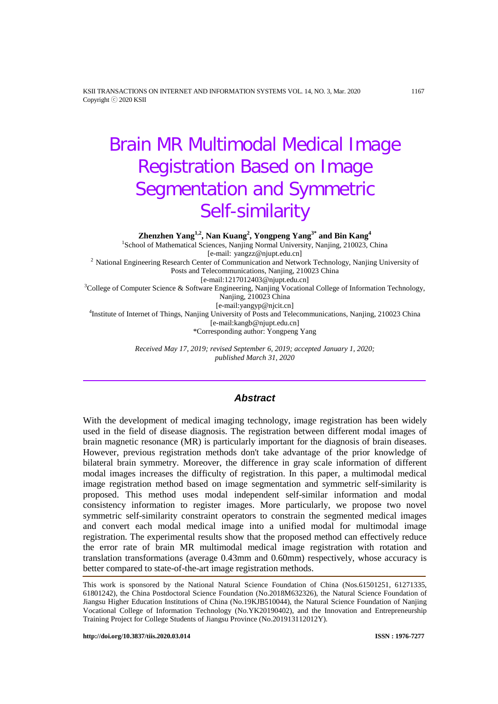KSII TRANSACTIONS ON INTERNET AND INFORMATION SYSTEMS VOL. 14, NO. 3, Mar. 2020 1167 Copyright ⓒ 2020 KSII

# Brain MR Multimodal Medical Image Registration Based on Image Segmentation and Symmetric Self-similarity

**Zhenzhen Yang1,2, Nan Kuang2 , Yongpeng Yang3\* and Bin Kang<sup>4</sup>**

<sup>1</sup>School of Mathematical Sciences, Nanjing Normal University, Nanjing, 210023, China [e-mail: yangzz@njupt.edu.cn] <sup>2</sup> National Engineering Research Center of Communication and Network Technology, Nanjing University of Posts and Telecommunications, Nanjing, 210023 China<br>[e-mail:1217012403@njupt.edu.cn] [e-mail:1217012403@njupt.edu.cn] <sup>3</sup> College of Computer Science & Software Engineering, Nanjing Vocational College of Information Technology, Nanjing, 210023 China<br>[e-mail:yangyp@njcit.cn] [e-mail:yangyp@njcit.cn] <sup>4</sup> Institute of Internet of Things, Nanjing University of Posts and Telecommunications, Nanjing, 210023 China [e-mail:kangb@njupt.edu.cn] \*Corresponding author: Yongpeng Yang

> *Received May 17, 2019; revised September 6, 2019; accepted January 1, 2020; published March 31, 2020*

# *Abstract*

With the development of medical imaging technology, image registration has been widely used in the field of disease diagnosis. The registration between different modal images of brain magnetic resonance (MR) is particularly important for the diagnosis of brain diseases. However, previous registration methods don't take advantage of the prior knowledge of bilateral brain symmetry. Moreover, the difference in gray scale information of different modal images increases the difficulty of registration. In this paper, a multimodal medical image registration method based on image segmentation and symmetric self-similarity is proposed. This method uses modal independent self-similar information and modal consistency information to register images. More particularly, we propose two novel symmetric self-similarity constraint operators to constrain the segmented medical images and convert each modal medical image into a unified modal for multimodal image registration. The experimental results show that the proposed method can effectively reduce the error rate of brain MR multimodal medical image registration with rotation and translation transformations (average 0.43mm and 0.60mm) respectively, whose accuracy is better compared to state-of-the-art image registration methods.

This work is sponsored by the National Natural Science Foundation of China (Nos.61501251, 61271335, 61801242), the China Postdoctoral Science Foundation (No.2018M632326), the Natural Science Foundation of Jiangsu Higher Education Institutions of China (No.19KJB510044), the Natural Science Foundation of Nanjing Vocational College of Information Technology (No.YK20190402), and the Innovation and Entrepreneurship Training Project for College Students of Jiangsu Province (No.201913112012Y).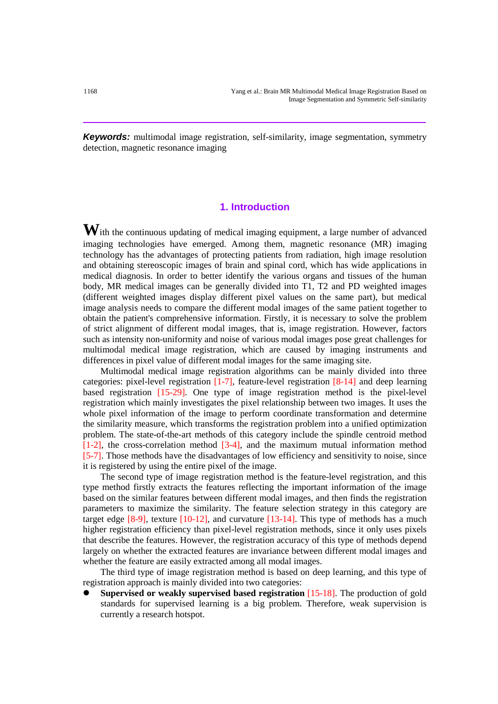**Keywords:** multimodal image registration, self-similarity, image segmentation, symmetry detection, magnetic resonance imaging

# **1. Introduction**

With the continuous updating of medical imaging equipment, a large number of advanced imaging technologies have emerged. Among them, magnetic resonance (MR) imaging technology has the advantages of protecting patients from radiation, high image resolution and obtaining stereoscopic images of brain and spinal cord, which has wide applications in medical diagnosis. In order to better identify the various organs and tissues of the human body, MR medical images can be generally divided into T1, T2 and PD weighted images (different weighted images display different pixel values on the same part), but medical image analysis needs to compare the different modal images of the same patient together to obtain the patient's comprehensive information. Firstly, it is necessary to solve the problem of strict alignment of different modal images, that is, image registration. However, factors such as intensity non-uniformity and noise of various modal images pose great challenges for multimodal medical image registration, which are caused by imaging instruments and differences in pixel value of different modal images for the same imaging site.

Multimodal medical image registration algorithms can be mainly divided into three categories: pixel-level registration [1-7], feature-level registration [8-14] and deep learning based registration [15-29]. One type of image registration method is the pixel-level registration which mainly investigates the pixel relationship between two images. It uses the whole pixel information of the image to perform coordinate transformation and determine the similarity measure, which transforms the registration problem into a unified optimization problem. The state-of-the-art methods of this category include the spindle centroid method [1-2], the cross-correlation method [3-4], and the maximum mutual information method [5-7]. Those methods have the disadvantages of low efficiency and sensitivity to noise, since it is registered by using the entire pixel of the image.

The second type of image registration method is the feature-level registration, and this type method firstly extracts the features reflecting the important information of the image based on the similar features between different modal images, and then finds the registration parameters to maximize the similarity. The feature selection strategy in this category are target edge  $[8-9]$ , texture  $[10-12]$ , and curvature  $[13-14]$ . This type of methods has a much higher registration efficiency than pixel-level registration methods, since it only uses pixels that describe the features. However, the registration accuracy of this type of methods depend largely on whether the extracted features are invariance between different modal images and whether the feature are easily extracted among all modal images.

The third type of image registration method is based on deep learning, and this type of registration approach is mainly divided into two categories:

 **Supervised or weakly supervised based registration** [15-18]. The production of gold standards for supervised learning is a big problem. Therefore, weak supervision is currently a research hotspot.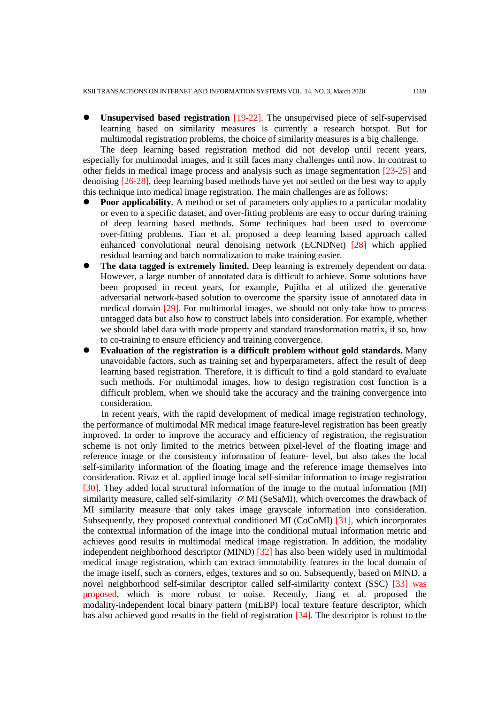**Unsupervised based registration** [19-22]. The unsupervised piece of self-supervised learning based on similarity measures is currently a research hotspot. But for multimodal registration problems, the choice of similarity measures is a big challenge.

The deep learning based registration method did not develop until recent years, especially for multimodal images, and it still faces many challenges until now. In contrast to other fields in medical image process and analysis such as image segmentation [23-25] and denoising [26-28], deep learning based methods have yet not settled on the best way to apply this technique into medical image registration. The main challenges are as follows:

- **Poor applicability.** A method or set of parameters only applies to a particular modality or even to a specific dataset, and over-fitting problems are easy to occur during training of deep learning based methods. Some techniques had been used to overcome over-fitting problems. Tian et al. proposed a deep learning based approach called enhanced convolutional neural denoising network (ECNDNet) [28] which applied residual learning and batch normalization to make training easier.
- **The data tagged is extremely limited.** Deep learning is extremely dependent on data. However, a large number of annotated data is difficult to achieve. Some solutions have been proposed in recent years, for example, Pujitha et al utilized the generative adversarial network-based solution to overcome the sparsity issue of annotated data in medical domain [29]. For multimodal images, we should not only take how to process untagged data but also how to construct labels into consideration. For example, whether we should label data with mode property and standard transformation matrix, if so, how to co-training to ensure efficiency and training convergence.
- **Evaluation of the registration is a difficult problem without gold standards.** Many unavoidable factors, such as training set and hyperparameters, affect the result of deep learning based registration. Therefore, it is difficult to find a gold standard to evaluate such methods. For multimodal images, how to design registration cost function is a difficult problem, when we should take the accuracy and the training convergence into consideration.

In recent years, with the rapid development of medical image registration technology, the performance of multimodal MR medical image feature-level registration has been greatly improved. In order to improve the accuracy and efficiency of registration, the registration scheme is not only limited to the metrics between pixel-level of the floating image and reference image or the consistency information of feature- level, but also takes the local self-similarity information of the floating image and the reference image themselves into consideration. Rivaz et al. applied image local self-similar information to image registration [30]. They added local structural information of the image to the mutual information (MI) similarity measure, called self-similarity  $\alpha$  MI (SeSaMI), which overcomes the drawback of MI similarity measure that only takes image grayscale information into consideration. Subsequently, they proposed contextual conditioned MI (CoCoMI) [31], which incorporates the contextual information of the image into the conditional mutual information metric and achieves good results in multimodal medical image registration. In addition, the modality independent neighborhood descriptor (MIND) [32] has also been widely used in multimodal medical image registration, which can extract immutability features in the local domain of the image itself, such as corners, edges, textures and so on. Subsequently, based on MIND, a novel neighborhood self-similar descriptor called self-similarity context (SSC) [33] was proposed, which is more robust to noise. Recently, Jiang et al. proposed the modality-independent local binary pattern (miLBP) local texture feature descriptor, which has also achieved good results in the field of registration [34]. The descriptor is robust to the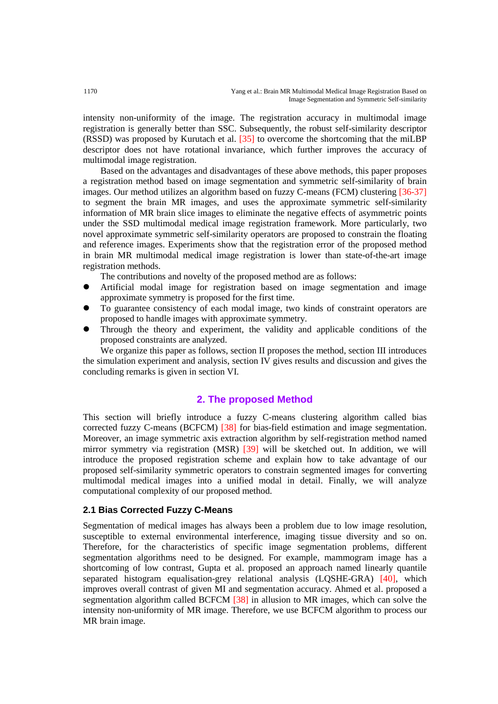intensity non-uniformity of the image. The registration accuracy in multimodal image registration is generally better than SSC. Subsequently, the robust self-similarity descriptor (RSSD) was proposed by Kurutach et al. [35] to overcome the shortcoming that the miLBP descriptor does not have rotational invariance, which further improves the accuracy of multimodal image registration.

Based on the advantages and disadvantages of these above methods, this paper proposes a registration method based on image segmentation and symmetric self-similarity of brain images. Our method utilizes an algorithm based on fuzzy C-means (FCM) clustering [36-37] to segment the brain MR images, and uses the approximate symmetric self-similarity information of MR brain slice images to eliminate the negative effects of asymmetric points under the SSD multimodal medical image registration framework. More particularly, two novel approximate symmetric self-similarity operators are proposed to constrain the floating and reference images. Experiments show that the registration error of the proposed method in brain MR multimodal medical image registration is lower than state-of-the-art image registration methods.

The contributions and novelty of the proposed method are as follows:

- Artificial modal image for registration based on image segmentation and image approximate symmetry is proposed for the first time.
- To guarantee consistency of each modal image, two kinds of constraint operators are proposed to handle images with approximate symmetry.
- Through the theory and experiment, the validity and applicable conditions of the proposed constraints are analyzed.

We organize this paper as follows, section II proposes the method, section III introduces the simulation experiment and analysis, section IV gives results and discussion and gives the concluding remarks is given in section VI.

## **2. The proposed Method**

This section will briefly introduce a fuzzy C-means clustering algorithm called bias corrected fuzzy C-means (BCFCM) [38] for bias-field estimation and image segmentation. Moreover, an image symmetric axis extraction algorithm by self-registration method named mirror symmetry via registration (MSR) [39] will be sketched out. In addition, we will introduce the proposed registration scheme and explain how to take advantage of our proposed self-similarity symmetric operators to constrain segmented images for converting multimodal medical images into a unified modal in detail. Finally, we will analyze computational complexity of our proposed method.

### **2.1 Bias Corrected Fuzzy C-Means**

Segmentation of medical images has always been a problem due to low image resolution, susceptible to external environmental interference, imaging tissue diversity and so on. Therefore, for the characteristics of specific image segmentation problems, different segmentation algorithms need to be designed. For example, mammogram image has a shortcoming of low contrast, Gupta et al. proposed an approach named linearly quantile separated histogram equalisation-grey relational analysis (LQSHE-GRA) [40], which improves overall contrast of given MI and segmentation accuracy. Ahmed et al. proposed a segmentation algorithm called BCFCM [38] in allusion to MR images, which can solve the intensity non-uniformity of MR image. Therefore, we use BCFCM algorithm to process our MR brain image.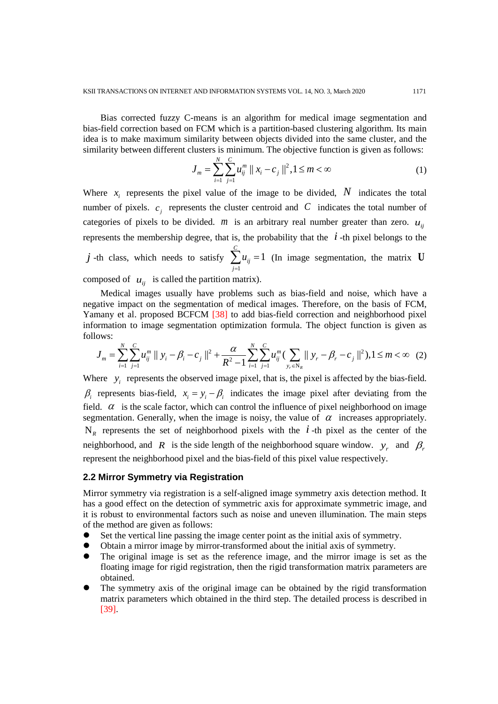Bias corrected fuzzy C-means is an algorithm for medical image segmentation and bias-field correction based on FCM which is a partition-based clustering algorithm. Its main idea is to make maximum similarity between objects divided into the same cluster, and the similarity between different clusters is minimum. The objective function is given as follows:

$$
J_m = \sum_{i=1}^{N} \sum_{j=1}^{C} u_{ij}^m ||x_i - c_j||^2, 1 \le m < \infty
$$
 (1)

Where  $x_i$  represents the pixel value of the image to be divided, N indicates the total number of pixels.  $c_i$  represents the cluster centroid and  $C$  indicates the total number of categories of pixels to be divided. *m* is an arbitrary real number greater than zero.  $u_{ii}$ represents the membership degree, that is, the probability that the  $i$ -th pixel belongs to the *j* -th class, which needs to satisfy 1 1 *C ij j u*  $\sum_{j=1} u_{ij} = 1$  (In image segmentation, the matrix **U** 

composed of  $u_{ii}$  is called the partition matrix).

Medical images usually have problems such as bias-field and noise, which have a negative impact on the segmentation of medical images. Therefore, on the basis of FCM, Yamany et al. proposed BCFCM [38] to add bias-field correction and neighborhood pixel information to image segmentation optimization formula. The object function is given as follows:

$$
J_m = \sum_{i=1}^N \sum_{j=1}^C u_{ij}^m \parallel y_i - \beta_i - c_j \parallel^2 + \frac{\alpha}{R^2 - 1} \sum_{i=1}^N \sum_{j=1}^C u_{ij}^m (\sum_{y_r \in N_R} ||y_r - \beta_r - c_j||^2), 1 \le m < \infty
$$
 (2)

Where  $y_i$  represents the observed image pixel, that is, the pixel is affected by the bias-field.  $\beta_i$  represents bias-field,  $x_i = y_i - \beta_i$  indicates the image pixel after deviating from the field.  $\alpha$  is the scale factor, which can control the influence of pixel neighborhood on image segmentation. Generally, when the image is noisy, the value of  $\alpha$  increases appropriately.  $N_R$  represents the set of neighborhood pixels with the *i*-th pixel as the center of the neighborhood, and *R* is the side length of the neighborhood square window. *y<sub>r</sub>* and  $\beta_r$ represent the neighborhood pixel and the bias-field of this pixel value respectively.

#### **2.2 Mirror Symmetry via Registration**

Mirror symmetry via registration is a self-aligned image symmetry axis detection method. It has a good effect on the detection of symmetric axis for approximate symmetric image, and it is robust to environmental factors such as noise and uneven illumination. The main steps of the method are given as follows:

- Set the vertical line passing the image center point as the initial axis of symmetry.
- Obtain a mirror image by mirror-transformed about the initial axis of symmetry.
- The original image is set as the reference image, and the mirror image is set as the floating image for rigid registration, then the rigid transformation matrix parameters are obtained.
- The symmetry axis of the original image can be obtained by the rigid transformation matrix parameters which obtained in the third step. The detailed process is described in [39].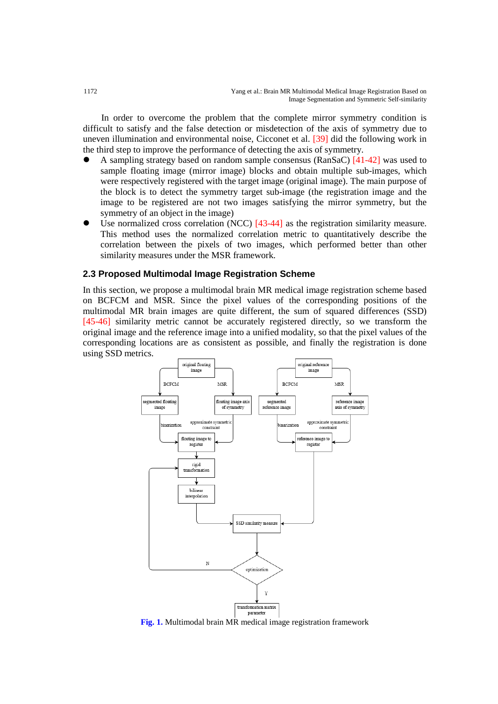In order to overcome the problem that the complete mirror symmetry condition is difficult to satisfy and the false detection or misdetection of the axis of symmetry due to uneven illumination and environmental noise, Cicconet et al. [39] did the following work in the third step to improve the performance of detecting the axis of symmetry.

- A sampling strategy based on random sample consensus (RanSaC) [41-42] was used to sample floating image (mirror image) blocks and obtain multiple sub-images, which were respectively registered with the target image (original image). The main purpose of the block is to detect the symmetry target sub-image (the registration image and the image to be registered are not two images satisfying the mirror symmetry, but the symmetry of an object in the image)
- Use normalized cross correlation (NCC)  $[43-44]$  as the registration similarity measure. This method uses the normalized correlation metric to quantitatively describe the correlation between the pixels of two images, which performed better than other similarity measures under the MSR framework.

### **2.3 Proposed Multimodal Image Registration Scheme**

In this section, we propose a multimodal brain MR medical image registration scheme based on BCFCM and MSR. Since the pixel values of the corresponding positions of the multimodal MR brain images are quite different, the sum of squared differences (SSD) [45-46] similarity metric cannot be accurately registered directly, so we transform the original image and the reference image into a unified modality, so that the pixel values of the corresponding locations are as consistent as possible, and finally the registration is done using SSD metrics.



**Fig. 1.** Multimodal brain MR medical image registration framework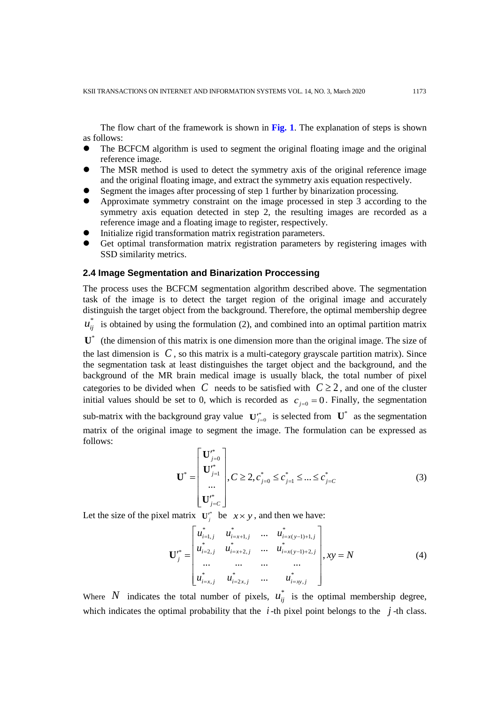The flow chart of the framework is shown in **Fig. 1**. The explanation of steps is shown as follows:

- The BCFCM algorithm is used to segment the original floating image and the original reference image.
- The MSR method is used to detect the symmetry axis of the original reference image and the original floating image, and extract the symmetry axis equation respectively.
- Segment the images after processing of step 1 further by binarization processing.
- Approximate symmetry constraint on the image processed in step 3 according to the symmetry axis equation detected in step 2, the resulting images are recorded as a reference image and a floating image to register, respectively.
- Initialize rigid transformation matrix registration parameters.
- Get optimal transformation matrix registration parameters by registering images with SSD similarity metrics.

## **2.4 Image Segmentation and Binarization Proccessing**

The process uses the BCFCM segmentation algorithm described above. The segmentation task of the image is to detect the target region of the original image and accurately distinguish the target object from the background. Therefore, the optimal membership degree

 $u_{ij}^*$  is obtained by using the formulation (2), and combined into an optimal partition matrix

 $\mathbf{U}^*$  (the dimension of this matrix is one dimension more than the original image. The size of the last dimension is  $C$ , so this matrix is a multi-category grayscale partition matrix). Since the segmentation task at least distinguishes the target object and the background, and the background of the MR brain medical image is usually black, the total number of pixel categories to be divided when *C* needs to be satisfied with  $C \ge 2$ , and one of the cluster initial values should be set to 0, which is recorded as  $c_{i=0} = 0$ . Finally, the segmentation

sub-matrix with the background gray value  $\mathbf{U}_{j=0}^*$  is selected from  $\mathbf{U}^*$  as the segmentation matrix of the original image to segment the image. The formulation can be expressed as follows:

$$
\mathbf{U}^* = \begin{bmatrix} \mathbf{U}_{j=0}^* \\ \mathbf{U}_{j=1}^* \\ \dots \\ \mathbf{U}_{j=C}^* \end{bmatrix}, C \ge 2, c_{j=0}^* \le c_{j=1}^* \le \dots \le c_{j=C}^* \tag{3}
$$

Let the size of the pixel matrix  $\mathbf{U}^{f^*}$  be  $x \times y$ , and then we have:

$$
\mathbf{U}_{j}^{*} = \begin{bmatrix} u_{i=1,j}^{*} & u_{i=x+1,j}^{*} & \dots & u_{i=x(y-1)+1,j}^{*} \\ u_{i=2,j}^{*} & u_{i=x+2,j}^{*} & \dots & u_{i=x(y-1)+2,j}^{*} \\ \dots & \dots & \dots & \dots \\ u_{i=x,j}^{*} & u_{i=2x,j}^{*} & \dots & u_{i=xy,j}^{*} \end{bmatrix}, xy = N
$$
(4)

Where N indicates the total number of pixels,  $u_{ij}^*$  is the optimal membership degree, which indicates the optimal probability that the  $i$ -th pixel point belongs to the  $j$ -th class.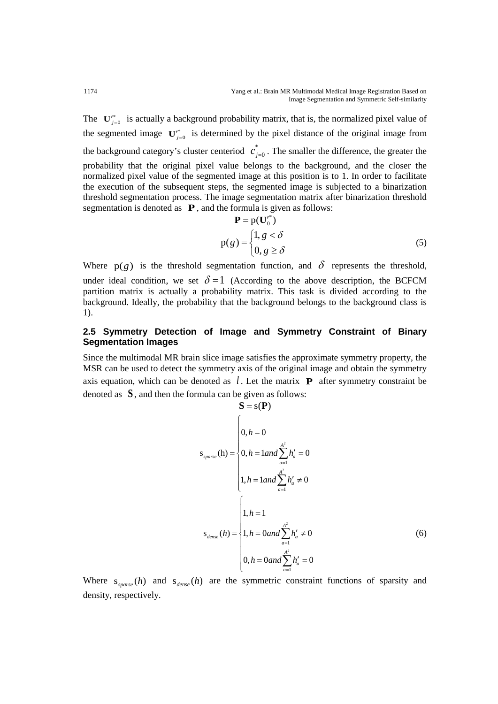The  $\mathbf{U}_{j=0}^{'}$  is actually a background probability matrix, that is, the normalized pixel value of the segmented image  $\mathbf{U}_{j=0}^{r^*}$  is determined by the pixel distance of the original image from the background category's cluster centeriod  $c_{j=0}^*$ . The smaller the difference, the greater the probability that the original pixel value belongs to the background, and the closer the normalized pixel value of the segmented image at this position is to 1. In order to facilitate the execution of the subsequent steps, the segmented image is subjected to a binarization threshold segmentation process. The image segmentation matrix after binarization threshold segmentation is denoted as **P**, and the formula is given as follows:

$$
\mathbf{P} = p(\mathbf{U}_0^*)
$$
  
 
$$
p(g) = \begin{cases} 1, g < \delta \\ 0, g \ge \delta \end{cases}
$$
 (5)

Where  $p(g)$  is the threshold segmentation function, and  $\delta$  represents the threshold, under ideal condition, we set  $\delta = 1$  (According to the above description, the BCFCM partition matrix is actually a probability matrix. This task is divided according to the background. Ideally, the probability that the background belongs to the background class is 1).

## **2.5 Symmetry Detection of Image and Symmetry Constraint of Binary Segmentation Images**

Since the multimodal MR brain slice image satisfies the approximate symmetry property, the MSR can be used to detect the symmetry axis of the original image and obtain the symmetry axis equation, which can be denoted as  $\ell$ . Let the matrix **P** after symmetry constraint be denoted as **S** , and then the formula can be given as follows:

$$
\mathbf{S} = \mathbf{s}(\mathbf{P})
$$
  
\n
$$
\mathbf{s}_{sparse}(\mathbf{h}) = \begin{cases} 0, h = 0 \\ 0, h = 1 \text{ and } \sum_{a=1}^{A^2} h'_a = 0 \\ 1, h = 1 \text{ and } \sum_{a=1}^{A^2} h'_a \neq 0 \end{cases}
$$
  
\n
$$
\mathbf{s}_{dense}(h) = \begin{cases} 1, h = 1 \\ 1, h = 0 \text{ and } \sum_{a=1}^{A^2} h'_a \neq 0 \\ 0, h = 0 \text{ and } \sum_{a=1}^{A^2} h'_a = 0 \end{cases}
$$
 (6)

Where  $s_{sparse}(h)$  and  $s_{dense}(h)$  are the symmetric constraint functions of sparsity and density, respectively.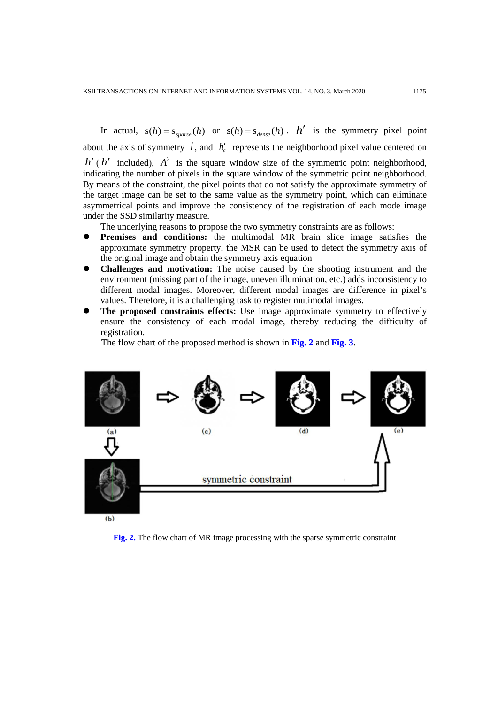In actual,  $s(h) = s_{sparse}(h)$  or  $s(h) = s_{dense}(h)$ . *h'* is the symmetry pixel point about the axis of symmetry  $l$ , and  $h'_{a}$  represents the neighborhood pixel value centered on  $h'$  ( $h'$  included),  $A^2$  is the square window size of the symmetric point neighborhood, indicating the number of pixels in the square window of the symmetric point neighborhood. By means of the constraint, the pixel points that do not satisfy the approximate symmetry of the target image can be set to the same value as the symmetry point, which can eliminate asymmetrical points and improve the consistency of the registration of each mode image under the SSD similarity measure.

The underlying reasons to propose the two symmetry constraints are as follows:

- **Premises and conditions:** the multimodal MR brain slice image satisfies the approximate symmetry property, the MSR can be used to detect the symmetry axis of the original image and obtain the symmetry axis equation
- **Challenges and motivation:** The noise caused by the shooting instrument and the environment (missing part of the image, uneven illumination, etc.) adds inconsistency to different modal images. Moreover, different modal images are difference in pixel's values. Therefore, it is a challenging task to register mutimodal images.
- **The proposed constraints effects:** Use image approximate symmetry to effectively ensure the consistency of each modal image, thereby reducing the difficulty of registration.

The flow chart of the proposed method is shown in **Fig. 2** and **Fig. 3**.



 $(b)$ 

**Fig. 2.** The flow chart of MR image processing with the sparse symmetric constraint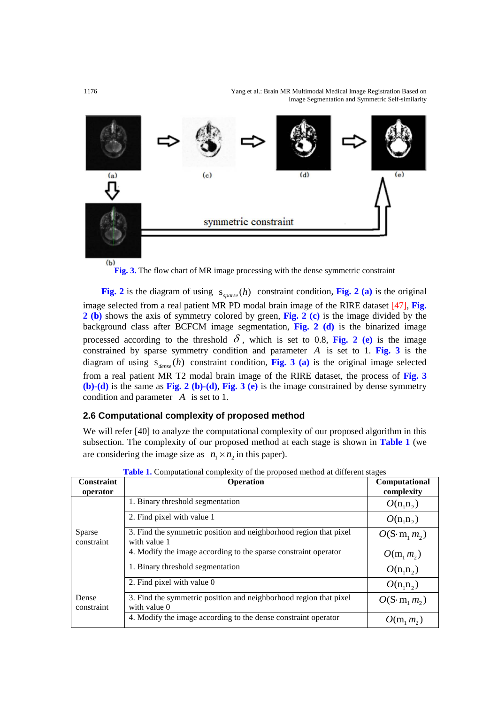1176 Yang et al.: Brain MR Multimodal Medical Image Registration Based on Image Segmentation and Symmetric Self-similarity



**Fig. 3.** The flow chart of MR image processing with the dense symmetric constraint

**Fig. 2** is the diagram of using  $s_{\text{sparse}}(h)$  constraint condition, **Fig. 2** (a) is the original image selected from a real patient MR PD modal brain image of the RIRE dataset [47], **Fig. 2 (b)** shows the axis of symmetry colored by green, **Fig. 2 (c)** is the image divided by the background class after BCFCM image segmentation, **Fig. 2 (d)** is the binarized image processed according to the threshold  $\delta$ , which is set to 0.8, Fig. 2 (e) is the image constrained by sparse symmetry condition and parameter *A* is set to 1. **Fig. 3** is the diagram of using  $s_{dense}(h)$  constraint condition, Fig. 3 (a) is the original image selected from a real patient MR T2 modal brain image of the RIRE dataset, the process of **Fig. 3 (b)-(d)** is the same as **Fig. 2 (b)-(d)**, **Fig. 3 (e)** is the image constrained by dense symmetry condition and parameter *A* is set to 1.

## **2.6 Computational complexity of proposed method**

We will refer [40] to analyze the computational complexity of our proposed algorithm in this subsection. The complexity of our proposed method at each stage is shown in **Table 1** (we are considering the image size as  $n_1 \times n_2$  in this paper).

| Constraint<br>operator | Operation                                                                         | <b>Computational</b><br>complexity |
|------------------------|-----------------------------------------------------------------------------------|------------------------------------|
| Sparse<br>constraint   | 1. Binary threshold segmentation                                                  | $O(n_1n_2)$                        |
|                        | 2. Find pixel with value 1                                                        | $O(n_1n_2)$                        |
|                        | 3. Find the symmetric position and neighborhood region that pixel<br>with value 1 | $O(S \cdot m_1 m_2)$               |
|                        | 4. Modify the image according to the sparse constraint operator                   | $O(m_1 m_2)$                       |
|                        | 1. Binary threshold segmentation                                                  | $O(n_1n_2)$                        |
| Dense<br>constraint    | 2. Find pixel with value 0                                                        | $O(n_1n_2)$                        |
|                        | 3. Find the symmetric position and neighborhood region that pixel<br>with value 0 | $O(S \cdot m_1 m_2)$               |
|                        | 4. Modify the image according to the dense constraint operator                    | $O(m_1 m_2)$                       |

**Table 1.** Computational complexity of the proposed method at different stages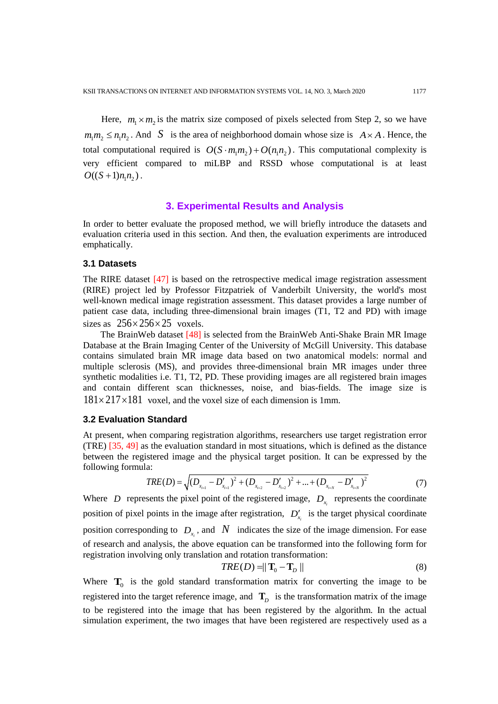Here,  $m_1 \times m_2$  is the matrix size composed of pixels selected from Step 2, so we have  $m_1 m_2 \leq n_1 n_2$ . And *S* is the area of neighborhood domain whose size is  $A \times A$ . Hence, the total computational required is  $O(S \cdot m_1 m_2) + O(n_1 n_2)$ . This computational complexity is very efficient compared to miLBP and RSSD whose computational is at least  $O((S+1)n_1n_2)$ .

# **3. Experimental Results and Analysis**

In order to better evaluate the proposed method, we will briefly introduce the datasets and evaluation criteria used in this section. And then, the evaluation experiments are introduced emphatically.

#### **3.1 Datasets**

The RIRE dataset [47] is based on the retrospective medical image registration assessment (RIRE) project led by Professor Fitzpatriek of Vanderbilt University, the world's most well-known medical image registration assessment. This dataset provides a large number of patient case data, including three-dimensional brain images (T1, T2 and PD) with image sizes as  $256 \times 256 \times 25$  voxels.

The BrainWeb dataset [48] is selected from the BrainWeb Anti-Shake Brain MR Image Database at the Brain Imaging Center of the University of McGill University. This database contains simulated brain MR image data based on two anatomical models: normal and multiple sclerosis (MS), and provides three-dimensional brain MR images under three synthetic modalities i.e. T1, T2, PD. These providing images are all registered brain images and contain different scan thicknesses, noise, and bias-fields. The image size is  $181 \times 217 \times 181$  voxel, and the voxel size of each dimension is 1mm.

#### **3.2 Evaluation Standard**

At present, when comparing registration algorithms, researchers use target registration error (TRE) [35, 49] as the evaluation standard in most situations, which is defined as the distance between the registered image and the physical target position. It can be expressed by the following formula:

$$
TRE(D) = \sqrt{(D_{x_{i=1}} - D'_{x_{i=1}})^2 + (D_{x_{i=2}} - D'_{x_{i=2}})^2 + ... + (D_{x_{i=N}} - D'_{x_{i=N}})^2}
$$
(7)

Where *D* represents the pixel point of the registered image,  $D<sub>x</sub>$  represents the coordinate position of pixel points in the image after registration,  $D'_{x_i}$  is the target physical coordinate position corresponding to  $D<sub>x</sub>$ , and  $N$  indicates the size of the image dimension. For ease of research and analysis, the above equation can be transformed into the following form for registration involving only translation and rotation transformation:

$$
TRE(D) = ||\mathbf{T}_0 - \mathbf{T}_D|| \tag{8}
$$

Where  $\mathbf{T}_0$  is the gold standard transformation matrix for converting the image to be registered into the target reference image, and  $\mathbf{T}_D$  is the transformation matrix of the image to be registered into the image that has been registered by the algorithm. In the actual simulation experiment, the two images that have been registered are respectively used as a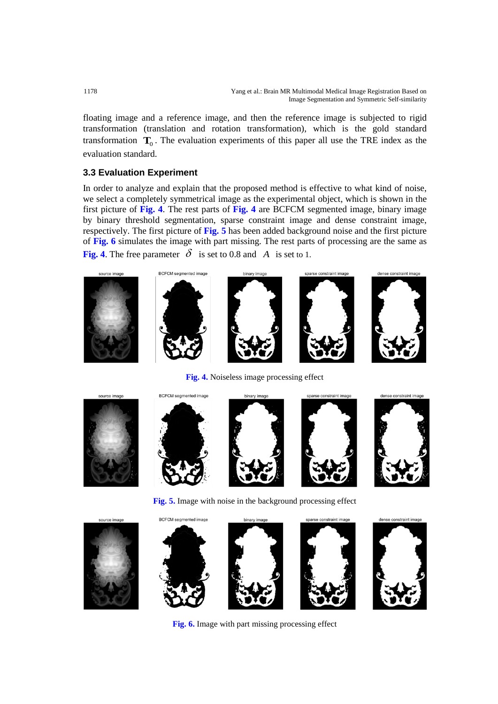floating image and a reference image, and then the reference image is subjected to rigid transformation (translation and rotation transformation), which is the gold standard transformation  $\mathbf{T}_0$ . The evaluation experiments of this paper all use the TRE index as the evaluation standard.

# **3.3 Evaluation Experiment**

In order to analyze and explain that the proposed method is effective to what kind of noise, we select a completely symmetrical image as the experimental object, which is shown in the first picture of **Fig. 4**. The rest parts of **Fig. 4** are BCFCM segmented image, binary image by binary threshold segmentation, sparse constraint image and dense constraint image, respectively. The first picture of **Fig. 5** has been added background noise and the first picture of **Fig. 6** simulates the image with part missing. The rest parts of processing are the same as **Fig. 4.** The free parameter  $\delta$  is set to 0.8 and *A* is set to 1.



**Fig. 4.** Noiseless image processing effect



**Fig. 5.** Image with noise in the background processing effect



**Fig. 6.** Image with part missing processing effect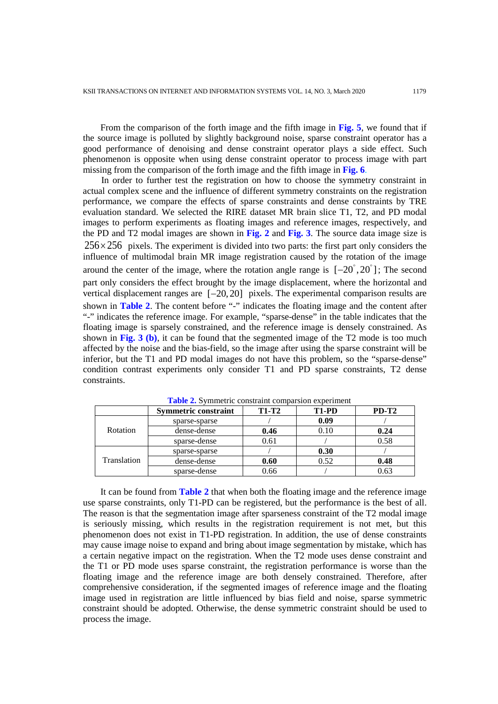From the comparison of the forth image and the fifth image in **Fig. 5**, we found that if the source image is polluted by slightly background noise, sparse constraint operator has a good performance of denoising and dense constraint operator plays a side effect. Such phenomenon is opposite when using dense constraint operator to process image with part missing from the comparison of the forth image and the fifth image in **Fig. 6**.

In order to further test the registration on how to choose the symmetry constraint in actual complex scene and the influence of different symmetry constraints on the registration performance, we compare the effects of sparse constraints and dense constraints by TRE evaluation standard. We selected the RIRE dataset MR brain slice T1, T2, and PD modal images to perform experiments as floating images and reference images, respectively, and the PD and T2 modal images are shown in **Fig. 2** and **Fig. 3**. The source data image size is  $256 \times 256$  pixels. The experiment is divided into two parts: the first part only considers the influence of multimodal brain MR image registration caused by the rotation of the image around the center of the image, where the rotation angle range is  $[-20^{\degree}, 20^{\degree}]$ ; The second part only considers the effect brought by the image displacement, where the horizontal and vertical displacement ranges are  $[-20, 20]$  pixels. The experimental comparison results are shown in **Table 2**. The content before "-" indicates the floating image and the content after "-" indicates the reference image. For example, "sparse-dense" in the table indicates that the floating image is sparsely constrained, and the reference image is densely constrained. As shown in **Fig. 3 (b)**, it can be found that the segmented image of the T2 mode is too much affected by the noise and the bias-field, so the image after using the sparse constraint will be inferior, but the T1 and PD modal images do not have this problem, so the "sparse-dense" condition contrast experiments only consider T1 and PD sparse constraints, T2 dense constraints.

|             | <b>Symmetric constraint</b> | <b>T1-T2</b> | T <sub>1</sub> -P <sub>D</sub> | $PD-T2$ |
|-------------|-----------------------------|--------------|--------------------------------|---------|
| Rotation    | sparse-sparse               |              | 0.09                           |         |
|             | dense-dense                 | 0.46         | 0.10                           | 0.24    |
|             | sparse-dense                | 0.61         |                                | 0.58    |
| Translation | sparse-sparse               |              | 0.30                           |         |
|             | dense-dense                 | 0.60         | 0.52                           | 0.48    |
|             | sparse-dense                | 0.66         |                                | 0.63    |

**Table 2.** Symmetric constraint comparsion experiment

It can be found from **Table 2** that when both the floating image and the reference image use sparse constraints, only T1-PD can be registered, but the performance is the best of all. The reason is that the segmentation image after sparseness constraint of the T2 modal image is seriously missing, which results in the registration requirement is not met, but this phenomenon does not exist in T1-PD registration. In addition, the use of dense constraints may cause image noise to expand and bring about image segmentation by mistake, which has a certain negative impact on the registration. When the T2 mode uses dense constraint and the T1 or PD mode uses sparse constraint, the registration performance is worse than the floating image and the reference image are both densely constrained. Therefore, after comprehensive consideration, if the segmented images of reference image and the floating image used in registration are little influenced by bias field and noise, sparse symmetric constraint should be adopted. Otherwise, the dense symmetric constraint should be used to process the image.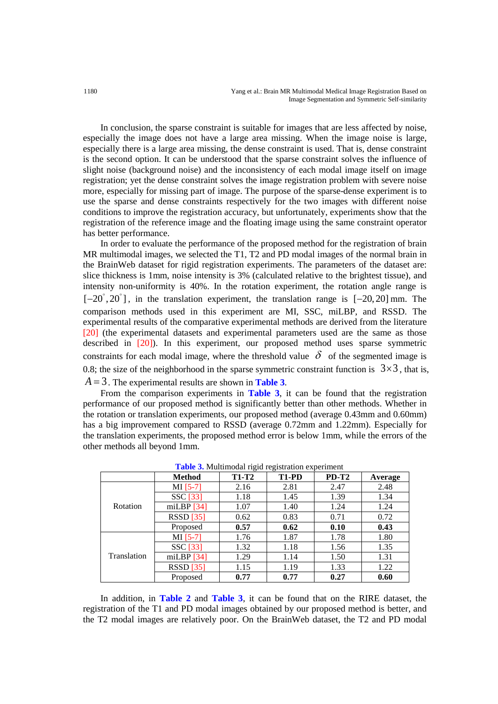In conclusion, the sparse constraint is suitable for images that are less affected by noise, especially the image does not have a large area missing. When the image noise is large, especially there is a large area missing, the dense constraint is used. That is, dense constraint is the second option. It can be understood that the sparse constraint solves the influence of slight noise (background noise) and the inconsistency of each modal image itself on image registration; yet the dense constraint solves the image registration problem with severe noise more, especially for missing part of image. The purpose of the sparse-dense experiment is to use the sparse and dense constraints respectively for the two images with different noise conditions to improve the registration accuracy, but unfortunately, experiments show that the registration of the reference image and the floating image using the same constraint operator has better performance.

In order to evaluate the performance of the proposed method for the registration of brain MR multimodal images, we selected the T1, T2 and PD modal images of the normal brain in the BrainWeb dataset for rigid registration experiments. The parameters of the dataset are: slice thickness is 1mm, noise intensity is 3% (calculated relative to the brightest tissue), and intensity non-uniformity is 40%. In the rotation experiment, the rotation angle range is  $[-20^\circ, 20^\circ]$ , in the translation experiment, the translation range is  $[-20, 20]$  mm. The comparison methods used in this experiment are MI, SSC, miLBP, and RSSD. The experimental results of the comparative experimental methods are derived from the literature [20] (the experimental datasets and experimental parameters used are the same as those described in [20]). In this experiment, our proposed method uses sparse symmetric constraints for each modal image, where the threshold value  $\delta$  of the segmented image is 0.8; the size of the neighborhood in the sparse symmetric constraint function is  $3 \times 3$ , that is, *A* = 3. The experimental results are shown in **Table 3**.

From the comparison experiments in **Table 3**, it can be found that the registration performance of our proposed method is significantly better than other methods. Whether in the rotation or translation experiments, our proposed method (average 0.43mm and 0.60mm) has a big improvement compared to RSSD (average 0.72mm and 1.22mm). Especially for the translation experiments, the proposed method error is below 1mm, while the errors of the other methods all beyond 1mm.

|             | <b>Method</b> | <b>T1-T2</b> | T <sub>1</sub> -P <sub>D</sub> | $PD-T2$ | Average |
|-------------|---------------|--------------|--------------------------------|---------|---------|
| Rotation    | $MI [5-7]$    | 2.16         | 2.81                           | 2.47    | 2.48    |
|             | SSC [33]      | 1.18         | 1.45                           | 1.39    | 1.34    |
|             | miLBP $[34]$  | 1.07         | 1.40                           | 1.24    | 1.24    |
|             | $RSSD$ [35]   | 0.62         | 0.83                           | 0.71    | 0.72    |
|             | Proposed      | 0.57         | 0.62                           | 0.10    | 0.43    |
|             | $MI [5-7]$    | 1.76         | 1.87                           | 1.78    | 1.80    |
| Translation | SSC [33]      | 1.32         | 1.18                           | 1.56    | 1.35    |
|             | miLBP $[34]$  | 1.29         | 1.14                           | 1.50    | 1.31    |
|             | $RSSD$ [35]   | 1.15         | 1.19                           | 1.33    | 1.22    |
|             | Proposed      | 0.77         | 0.77                           | 0.27    | 0.60    |

**Table 3.** Multimodal rigid registration experiment

In addition, in **Table 2** and **Table 3**, it can be found that on the RIRE dataset, the registration of the T1 and PD modal images obtained by our proposed method is better, and the T2 modal images are relatively poor. On the BrainWeb dataset, the T2 and PD modal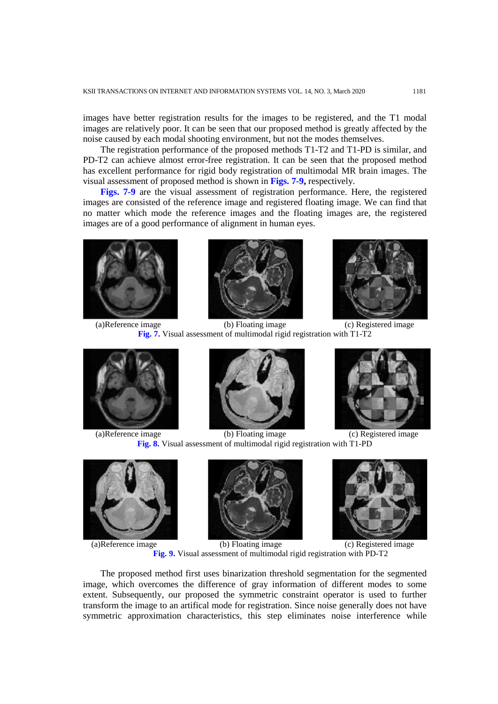images have better registration results for the images to be registered, and the T1 modal images are relatively poor. It can be seen that our proposed method is greatly affected by the noise caused by each modal shooting environment, but not the modes themselves.

The registration performance of the proposed methods T1-T2 and T1-PD is similar, and PD-T2 can achieve almost error-free registration. It can be seen that the proposed method has excellent performance for rigid body registration of multimodal MR brain images. The visual assessment of proposed method is shown in **Figs. 7-9,** respectively.

**Figs. 7-9** are the visual assessment of registration performance. Here, the registered images are consisted of the reference image and registered floating image. We can find that no matter which mode the reference images and the floating images are, the registered images are of a good performance of alignment in human eyes.







(a)Reference image (b) Floating image (c) Registered image **Fig. 7.** Visual assessment of multimodal rigid registration with T1-T2









(a)Reference image (b) Floating image (c) Registered image **Fig. 8.** Visual assessment of multimodal rigid registration with T1-PD





(a)Reference image (b) Floating image (c) Registered image **Fig. 9.** Visual assessment of multimodal rigid registration with PD-T2

The proposed method first uses binarization threshold segmentation for the segmented image, which overcomes the difference of gray information of different modes to some extent. Subsequently, our proposed the symmetric constraint operator is used to further transform the image to an artifical mode for registration. Since noise generally does not have symmetric approximation characteristics, this step eliminates noise interference while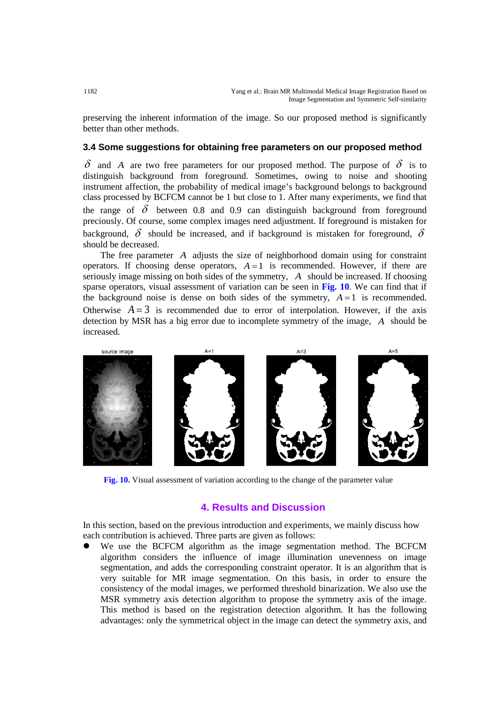preserving the inherent information of the image. So our proposed method is significantly better than other methods.

## **3.4 Some suggestions for obtaining free parameters on our proposed method**

 $\delta$  and *A* are two free parameters for our proposed method. The purpose of  $\delta$  is to distinguish background from foreground. Sometimes, owing to noise and shooting instrument affection, the probability of medical image's background belongs to background class processed by BCFCM cannot be 1 but close to 1. After many experiments, we find that the range of  $\delta$  between 0.8 and 0.9 can distinguish background from foreground preciously. Of course, some complex images need adjustment. If foreground is mistaken for background,  $\delta$  should be increased, and if background is mistaken for foreground,  $\delta$ should be decreased.

The free parameter *A* adjusts the size of neighborhood domain using for constraint operators. If choosing dense operators,  $A = 1$  is recommended. However, if there are seriously image missing on both sides of the symmetry, *A* should be increased. If choosing sparse operators, visual assessment of variation can be seen in **Fig. 10**. We can find that if the background noise is dense on both sides of the symmetry,  $A = 1$  is recommended. Otherwise  $A = 3$  is recommended due to error of interpolation. However, if the axis detection by MSR has a big error due to incomplete symmetry of the image, *A* should be increased.



**Fig. 10.** Visual assessment of variation according to the change of the parameter value

# **4. Results and Discussion**

In this section, based on the previous introduction and experiments, we mainly discuss how each contribution is achieved. Three parts are given as follows:

 We use the BCFCM algorithm as the image segmentation method. The BCFCM algorithm considers the influence of image illumination unevenness on image segmentation, and adds the corresponding constraint operator. It is an algorithm that is very suitable for MR image segmentation. On this basis, in order to ensure the consistency of the modal images, we performed threshold binarization. We also use the MSR symmetry axis detection algorithm to propose the symmetry axis of the image. This method is based on the registration detection algorithm. It has the following advantages: only the symmetrical object in the image can detect the symmetry axis, and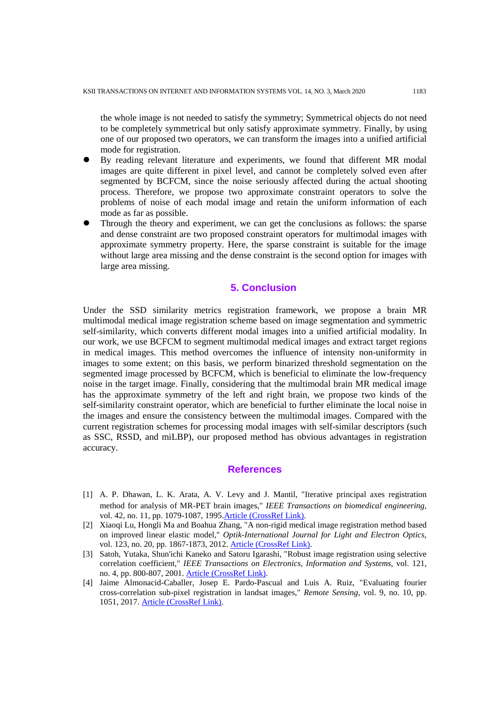the whole image is not needed to satisfy the symmetry; Symmetrical objects do not need to be completely symmetrical but only satisfy approximate symmetry. Finally, by using one of our proposed two operators, we can transform the images into a unified artificial mode for registration.

- By reading relevant literature and experiments, we found that different MR modal images are quite different in pixel level, and cannot be completely solved even after segmented by BCFCM, since the noise seriously affected during the actual shooting process. Therefore, we propose two approximate constraint operators to solve the problems of noise of each modal image and retain the uniform information of each mode as far as possible.
- Through the theory and experiment, we can get the conclusions as follows: the sparse and dense constraint are two proposed constraint operators for multimodal images with approximate symmetry property. Here, the sparse constraint is suitable for the image without large area missing and the dense constraint is the second option for images with large area missing.

# **5. Conclusion**

Under the SSD similarity metrics registration framework, we propose a brain MR multimodal medical image registration scheme based on image segmentation and symmetric self-similarity, which converts different modal images into a unified artificial modality. In our work, we use BCFCM to segment multimodal medical images and extract target regions in medical images. This method overcomes the influence of intensity non-uniformity in images to some extent; on this basis, we perform binarized threshold segmentation on the segmented image processed by BCFCM, which is beneficial to eliminate the low-frequency noise in the target image. Finally, considering that the multimodal brain MR medical image has the approximate symmetry of the left and right brain, we propose two kinds of the self-similarity constraint operator, which are beneficial to further eliminate the local noise in the images and ensure the consistency between the multimodal images. Compared with the current registration schemes for processing modal images with self-similar descriptors (such as SSC, RSSD, and miLBP), our proposed method has obvious advantages in registration accuracy.

#### **References**

- [1] A. P. Dhawan, L. K. Arata, A. V. Levy and J. Mantil, "Iterative principal axes registration method for analysis of MR-PET brain images," *IEEE Transactions on biomedical engineering*, vol. 42, no. 11, pp. 1079-1087, 1995. Article (CrossRef Link).
- [2] Xiaoqi Lu, Hongli Ma and Boahua Zhang, "A non-rigid medical image registration method based on improved linear elastic model," *Optik-International Journal for Light and Electron Optics*, vol. 123, no. 20, pp. 1867-1873, 2012. [Article \(CrossRef Link\).](https://doi.org/10.1016/j.ijleo.2012.03.061)
- [3] Satoh, Yutaka, Shun'ichi Kaneko and Satoru Igarashi, "Robust image registration using selective correlation coefficient," *IEEE Transactions on Electronics, Information and Systems*, vol. 121, no. 4, pp. 800-807, 2001. [Article \(CrossRef Link\).](https://doi.org/10.1541/ieejeiss1987.121.4_800)
- [4] Jaime Almonacid-Caballer, Josep E. Pardo-Pascual and Luis A. Ruiz, "Evaluating fourier cross-correlation sub-pixel registration in landsat images," *Remote Sensing*, vol. 9, no. 10, pp. 1051, 2017. [Article \(CrossRef Link\).](https://doi.org/10.3390/rs9101051)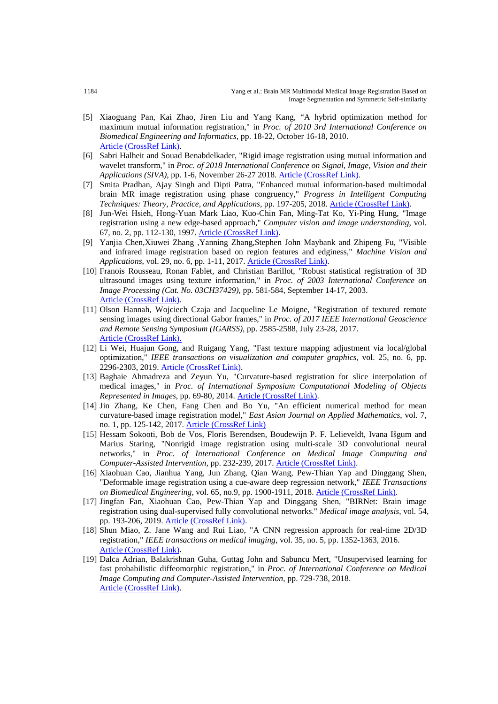- [5] Xiaoguang Pan, Kai Zhao, Jiren Liu and Yang Kang, "A hybrid optimization method for maximum mutual information registration," in *Proc. of 2010 3rd International Conference on Biomedical Engineering and Informatics*, pp. 18-22, October 16-18, 2010. [Article \(CrossRef Link\).](https://doi.org/10.1109/BMEI.2010.5639449)
- [6] Sabri Halheit and Souad Benabdelkader, "Rigid image registration using mutual information and wavelet transform," in *Proc. of 2018 International Conference on Signal, Image, Vision and their Applications (SIVA)*, pp. 1-6, November 26-27 2018. [Article \(CrossRef Link\).](https://doi.org/10.1109/SIVA.2018.8661096)
- [7] Smita Pradhan, Ajay Singh and Dipti Patra, "Enhanced mutual information-based multimodal brain MR image registration using phase congruency," *Progress in Intelligent Computing Techniques: Theory, Practice, and Applications*, pp. 197-205, 2018. [Article \(CrossRef Link\).](https://doi.org/10.1007/978-981-10-3373-5_19)
- [8] Jun-Wei Hsieh, Hong-Yuan Mark Liao, Kuo-Chin Fan, Ming-Tat Ko, Yi-Ping Hung, "Image registration using a new edge-based approach," *Computer vision and image understanding*, vol. 67, no. 2, pp. 112-130, 1997. [Article \(CrossRef Link\).](https://doi.org/10.1006/cviu.1996.0517)
- [9] Yanjia Chen,Xiuwei Zhang ,Yanning Zhang,Stephen John Maybank and Zhipeng Fu, "Visible and infrared image registration based on region features and edginess," *Machine Vision and Applications*, vol. 29, no. 6, pp. 1-11, 2017. [Article \(CrossRef Link\).](https://doi.org/10.1007/s00138-017-0879-6)
- [10] Franois Rousseau, Ronan Fablet, and Christian Barillot, "Robust statistical registration of 3D ultrasound images using texture information," in *Proc. of 2003 International Conference on Image Processing (Cat. No. 03CH37429)*, pp. 581-584, September 14-17, 2003. [Article \(CrossRef Link\).](https://ieeexplore.ieee.org/document/1247028?arnumber=1247028&tag=1)
- [11] Olson Hannah, Wojciech Czaja and Jacqueline Le Moigne, "Registration of textured remote sensing images using directional Gabor frames," in *Proc. of 2017 IEEE International Geoscience and Remote Sensing Symposium (IGARSS)*, pp. 2585-2588, July 23-28, 2017. [Article \(CrossRef Link\).](https://doi.org/10.1109/IGARSS.2017.8127524)
- [12] Li Wei, Huajun Gong, and Ruigang Yang, "Fast texture mapping adjustment via local/global optimization," *IEEE transactions on visualization and computer graphics*, vol. 25, no. 6, pp. 2296-2303, 2019. [Article \(CrossRef Link\).](https://doi.org/10.1109/TVCG.2018.2831220)
- [13] Baghaie Ahmadreza and Zeyun Yu, "Curvature-based registration for slice interpolation of medical images," in *Proc. of International Symposium Computational Modeling of Objects Represented in Images*, pp. 69-80, 2014. [Article \(CrossRef Link\).](https://doi.org/10.1007/978-3-319-09994-1_7)
- [14] Jin Zhang, Ke Chen, Fang Chen and Bo Yu, "An efficient numerical method for mean curvature-based image registration model," *East Asian Journal on Applied Mathematics*, vol. 7, no. 1, pp. 125-142, 2017. [Article \(CrossRef Link\)](https://doi.org/10.4208/eajam.200816.031216a)
- [15] Hessam Sokooti, Bob de Vos, Floris Berendsen, Boudewijn P. F. Lelieveldt, Ivana Išgum and Marius Staring, "Nonrigid image registration using multi-scale 3D convolutional neural networks," in *Proc. of International Conference on Medical Image Computing and Computer-Assisted Intervention*, pp. 232-239, 2017. [Article \(CrossRef Link\).](https://doi.org/10.1007/978-3-319-66182-7_27)
- [16] Xiaohuan Cao, Jianhua Yang, Jun Zhang, Qian Wang, Pew-Thian Yap and Dinggang Shen, "Deformable image registration using a cue-aware deep regression network," *IEEE Transactions on Biomedical Engineering*, vol. 65, no.9, pp. 1900-1911, 2018. [Article \(CrossRef Link\).](https://doi.org/10.1109/TBME.2018.2822826)
- [17] Jingfan Fan, Xiaohuan Cao, Pew-Thian Yap and Dinggang Shen, "BIRNet: Brain image registration using dual-supervised fully convolutional networks." *Medical image analysis*, vol. 54, pp. 193-206, 2019. [Article \(CrossRef Link\).](https://doi.org/10.1016/j.media.2019.03.006)
- [18] Shun Miao, Z. Jane Wang and Rui Liao, "A CNN regression approach for real-time 2D/3D registration," *IEEE transactions on medical imaging*, vol. 35, no. 5, pp. 1352-1363, 2016. [Article \(CrossRef Link\).](https://doi.org/10.1109/TMI.2016.2521800)
- [19] Dalca Adrian, Balakrishnan Guha, Guttag John and Sabuncu Mert, "Unsupervised learning for fast probabilistic diffeomorphic registration," in *Proc. of International Conference on Medical Image Computing and Computer-Assisted Intervention*, pp. 729-738, 2018. [Article \(CrossRef Link\).](https://doi.org/10.1007/978-3-030-00928-1_82)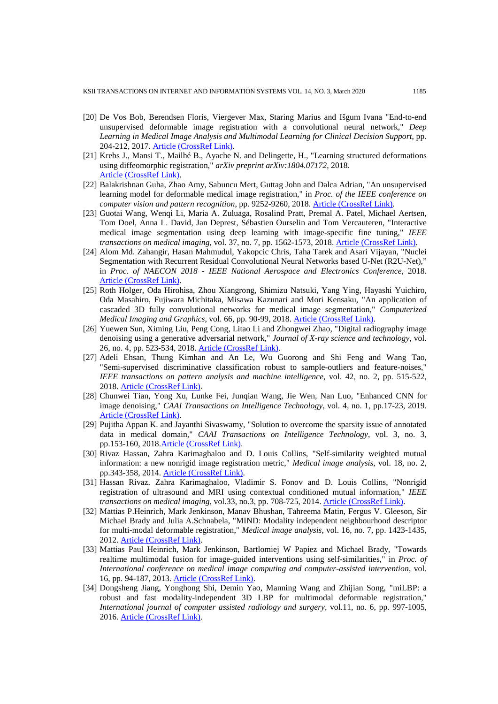- [20] De Vos Bob, Berendsen Floris, Viergever Max, Staring Marius and Išgum Ivana "End-to-end unsupervised deformable image registration with a convolutional neural network," *Deep Learning in Medical Image Analysis and Multimodal Learning for Clinical Decision Support*, pp. 204-212, 2017. [Article \(CrossRef Link\).](https://doi.org/10.1007/978-3-319-67558-9_24)
- [21] Krebs J., Mansi T., Mailhé B., Ayache N. and Delingette, H., "Learning structured deformations using diffeomorphic registration," *arXiv preprint arXiv:1804.07172*, 2018. [Article \(CrossRef Link\).](https://arxiv.org/abs/1804.07172v1)
- [22] Balakrishnan Guha, Zhao Amy, Sabuncu Mert, Guttag John and Dalca Adrian, "An unsupervised learning model for deformable medical image registration," in *Proc. of the IEEE conference on computer vision and pattern recognition*, pp. 9252-9260, 2018. [Article \(CrossRef Link\).](https://doi.org/10.1109/CVPR.2018.00964)
- [23] Guotai Wang, Wenqi Li, Maria A. Zuluaga, Rosalind Pratt, Premal A. Patel, Michael Aertsen, Tom Doel, Anna L. David, Jan Deprest, Sébastien Ourselin and Tom Vercauteren, "Interactive medical image segmentation using deep learning with image-specific fine tuning," *IEEE transactions on medical imaging*, vol. 37, no. 7, pp. 1562-1573, 2018. **Article (CrossRef Link)**.
- [24] Alom Md. Zahangir, Hasan Mahmudul, Yakopcic Chris, Taha Tarek and Asari Vijayan, "Nuclei Segmentation with Recurrent Residual Convolutional Neural Networks based U-Net (R2U-Net)," in *Proc. of NAECON 2018 - IEEE National Aerospace and Electronics Conference*, 2018. [Article \(CrossRef Link\).](https://doi.org/10.1109/NAECON.2018.8556686)
- [25] Roth Holger, Oda Hirohisa, Zhou Xiangrong, Shimizu Natsuki, Yang Ying, Hayashi Yuichiro, Oda Masahiro, Fujiwara Michitaka, Misawa Kazunari and Mori Kensaku, "An application of cascaded 3D fully convolutional networks for medical image segmentation," *Computerized Medical Imaging and Graphics*, vol. 66, pp. 90-99, 2018. [Article \(CrossRef Link\).](https://doi.org/10.1016/j.compmedimag.2018.03.001)
- [26] Yuewen Sun, Ximing Liu, Peng Cong, Litao Li and Zhongwei Zhao, "Digital radiography image denoising using a generative adversarial network," *Journal of X-ray science and technology*, vol. 26, no. 4, pp. 523-534, 2018. [Article \(CrossRef Link\).](https://doi.org/10.3233/XST-17356)
- [27] Adeli Ehsan, Thung Kimhan and An Le, Wu Guorong and Shi Feng and Wang Tao, "Semi-supervised discriminative classification robust to sample-outliers and feature-noises," *IEEE transactions on pattern analysis and machine intelligence*, vol. 42, no. 2, pp. 515-522, 2018. [Article \(CrossRef Link\).](https://doi.org/10.1109/TPAMI.2018.2794470)
- [28] Chunwei Tian, Yong Xu, Lunke Fei, Junqian Wang, Jie Wen, Nan Luo, "Enhanced CNN for image denoising," *CAAI Transactions on Intelligence Technology*, vol. 4, no. 1, pp.17-23, 2019. [Article \(CrossRef Link\).](https://doi.org/10.1049/trit.2018.1054)
- [29] Pujitha Appan K. and Jayanthi Sivaswamy, "Solution to overcome the sparsity issue of annotated data in medical domain," *CAAI Transactions on Intelligence Technology*, vol. 3, no. 3, pp.153-160, 201[8.Article \(CrossRef Link\).](https://doi.org/10.1049/trit.2018.1010)
- [30] Rivaz Hassan, Zahra Karimaghaloo and D. Louis Collins, "Self-similarity weighted mutual information: a new nonrigid image registration metric," *Medical image analysis*, vol. 18, no. 2, pp.343-358, 2014. [Article \(CrossRef Link\).](https://doi.org/10.1016/j.media.2013.12.003)
- [31] Hassan Rivaz, Zahra Karimaghaloo, Vladimir S. Fonov and D. Louis Collins, "Nonrigid registration of ultrasound and MRI using contextual conditioned mutual information," *IEEE transactions on medical imaging*, vol.33, no.3, pp. 708-725, 2014. [Article \(CrossRef Link\).](https://doi.org/10.1109/TMI.2013.2294630)
- [32] Mattias P.Heinrich, Mark Jenkinson, Manav Bhushan, Tahreema Matin, Fergus V. Gleeson, Sir Michael Brady and Julia A.Schnabela, "MIND: Modality independent neighbourhood descriptor for multi-modal deformable registration," *Medical image analysis*, vol. 16, no. 7, pp. 1423-1435, 2012. [Article \(CrossRef Link\).](https://doi.org/10.1016/j.media.2012.05.008)
- [33] Mattias Paul Heinrich, Mark Jenkinson, Bartlomiej W Papiez and Michael Brady, "Towards realtime multimodal fusion for image-guided interventions using self-similarities," in *Proc. of International conference on medical image computing and computer-assisted intervention*, vol. 16, pp. 94-187, 2013. [Article \(CrossRef Link\).](https://doi.org/10.1007/978-3-642-40811-3_24)
- [34] Dongsheng Jiang, Yonghong Shi, Demin Yao, Manning Wang and Zhijian Song, "miLBP: a robust and fast modality-independent 3D LBP for multimodal deformable registration," *International journal of computer assisted radiology and surgery*, vol.11, no. 6, pp. 997-1005, 2016. [Article \(CrossRef Link\).](https://doi.org/10.1007/s11548-016-1407-2)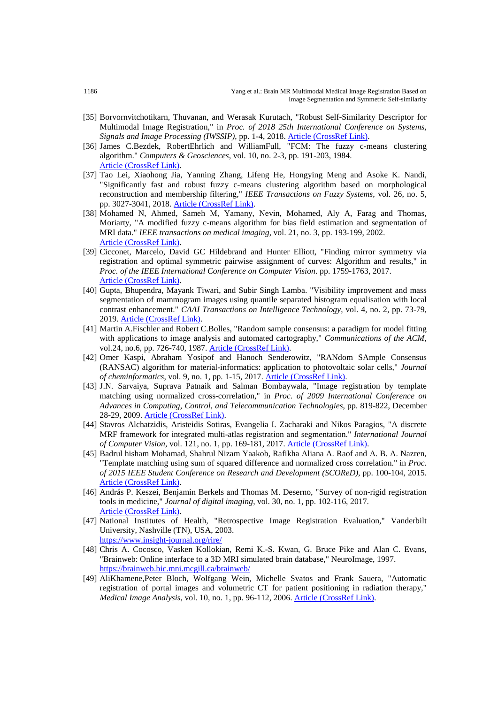- [35] Borvornvitchotikarn, Thuvanan, and Werasak Kurutach, "Robust Self-Similarity Descriptor for Multimodal Image Registration," in *Proc. of 2018 25th International Conference on Systems,*  Signals and Image Processing (IWSSIP), pp. 1-4, 2018. **Article (CrossRef Link)**.
- [36] James C.Bezdek, RobertEhrlich and WilliamFull, "FCM: The fuzzy c-means clustering algorithm." *Computers & Geosciences*, vol. 10, no. 2-3, pp. 191-203, 1984. [Article \(CrossRef Link\).](https://doi.org/10.1016/0098-3004(84)90020-7)
- [37] Tao Lei, Xiaohong Jia, Yanning Zhang, Lifeng He, Hongying Meng and Asoke K. Nandi, "Significantly fast and robust fuzzy c-means clustering algorithm based on morphological reconstruction and membership filtering," *IEEE Transactions on Fuzzy Systems*, vol. 26, no. 5, pp. 3027-3041, 2018[. Article \(CrossRef Link\).](https://doi.org/10.1109/TFUZZ.2018.2796074)
- [38] Mohamed N, Ahmed, Sameh M, Yamany, Nevin, Mohamed, Aly A, Farag and Thomas, Moriarty, "A modified fuzzy c-means algorithm for bias field estimation and segmentation of MRI data." *IEEE transactions on medical imaging*, vol. 21, no. 3, pp. 193-199, 2002. [Article \(CrossRef Link\).](https://doi.org/10.1109/42.996338)
- [39] Cicconet, Marcelo, David GC Hildebrand and Hunter Elliott, "Finding mirror symmetry via registration and optimal symmetric pairwise assignment of curves: Algorithm and results," in *Proc. of the IEEE International Conference on Computer Vision*. pp. 1759-1763, 2017. [Article \(CrossRef Link\).](https://doi.org/10.1109/ICCVW.2017.207)
- [40] Gupta, Bhupendra, Mayank Tiwari, and Subir Singh Lamba. "Visibility improvement and mass segmentation of mammogram images using quantile separated histogram equalisation with local contrast enhancement." *CAAI Transactions on Intelligence Technology*, vol. 4, no. 2, pp. 73-79, 2019. [Article \(CrossRef Link\).](https://doi.org/10.1049/trit.2018.1006)
- [41] Martin A.Fischler and Robert C.Bolles, "Random sample consensus: a paradigm for model fitting with applications to image analysis and automated cartography," *Communications of the ACM*, vol.24, no.6, pp. 726-740, 1987. [Article \(CrossRef Link\).](https://doi.org/10.1145/358669.358692)
- [42] Omer Kaspi, Abraham Yosipof and Hanoch Senderowitz, "RANdom SAmple Consensus (RANSAC) algorithm for material-informatics: application to photovoltaic solar cells," *Journal of cheminformatics*, vol. 9, no. 1, pp. 1-15, 2017. [Article \(CrossRef Link\).](https://doi.org/10.1186/s13321-017-0224-0)
- [43] J.N. Sarvaiya, Suprava Patnaik and Salman Bombaywala, "Image registration by template matching using normalized cross-correlation," in *Proc. of 2009 International Conference on Advances in Computing, Control, and Telecommunication Technologies*, pp. 819-822, December 28-29, 2009. [Article \(CrossRef Link\).](https://doi.org/10.1109/ACT.2009.207)
- [44] Stavros Alchatzidis, Aristeidis Sotiras, Evangelia I. Zacharaki and Nikos Paragios, "A discrete MRF framework for integrated multi-atlas registration and segmentation." *International Journal of Computer Vision*, vol. 121, no. 1, pp. 169-181, 2017[. Article \(CrossRef Link\).](https://doi.org/10.1007/s11263-016-0925-2)
- [45] Badrul hisham Mohamad, Shahrul Nizam Yaakob, Rafikha Aliana A. Raof and A. B. A. Nazren, "Template matching using sum of squared difference and normalized cross correlation." in *Proc. of 2015 IEEE Student Conference on Research and Development (SCOReD)*, pp. 100-104, 2015. [Article \(CrossRef Link\).](https://doi.org/10.1109/SCORED.2015.7449303)
- [46] András P. Keszei, Benjamin Berkels and Thomas M. Deserno, "Survey of non-rigid registration tools in medicine," *Journal of digital imaging*, vol. 30, no. 1, pp. 102-116, 2017. [Article \(CrossRef Link\).](https://doi.org/10.1007/s10278-016-9915-8)
- [47] National Institutes of Health, "Retrospective Image Registration Evaluation," Vanderbilt University, Nashville (TN), USA, 2003. <https://www.insight-journal.org/rire/>
- [48] Chris A. Cocosco, Vasken Kollokian, Remi K.-S. Kwan, G. Bruce Pike and Alan C. Evans, "Brainweb: Online interface to a 3D MRI simulated brain database," NeuroImage, 1997. <https://brainweb.bic.mni.mcgill.ca/brainweb/>
- [49] AliKhamene,Peter Bloch, Wolfgang Wein, Michelle Svatos and Frank Sauera, "Automatic registration of portal images and volumetric CT for patient positioning in radiation therapy," *Medical Image Analysis*, vol. 10, no. 1, pp. 96-112, 2006. [Article \(CrossRef Link\).](https://doi.org/10.1016/j.media.2005.06.002)